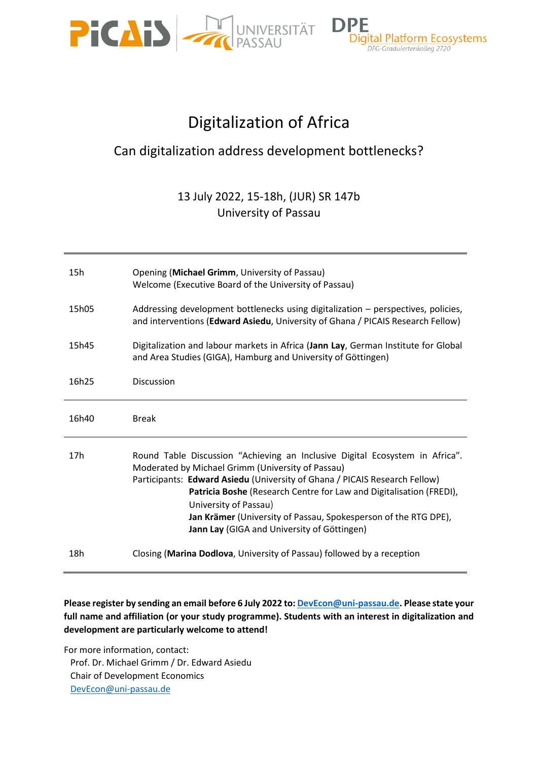



# Digitalization of Africa

## Can digitalization address development bottlenecks?

### 13 July 2022, 15-18h, (JUR) SR 147b University of Passau

| 15h             | Opening (Michael Grimm, University of Passau)<br>Welcome (Executive Board of the University of Passau)                                                                                                                                                                                                                                                                                                                            |
|-----------------|-----------------------------------------------------------------------------------------------------------------------------------------------------------------------------------------------------------------------------------------------------------------------------------------------------------------------------------------------------------------------------------------------------------------------------------|
| 15h05           | Addressing development bottlenecks using digitalization - perspectives, policies,<br>and interventions (Edward Asiedu, University of Ghana / PICAIS Research Fellow)                                                                                                                                                                                                                                                              |
| 15h45           | Digitalization and labour markets in Africa (Jann Lay, German Institute for Global<br>and Area Studies (GIGA), Hamburg and University of Göttingen)                                                                                                                                                                                                                                                                               |
| 16h25           | <b>Discussion</b>                                                                                                                                                                                                                                                                                                                                                                                                                 |
| 16h40           | <b>Break</b>                                                                                                                                                                                                                                                                                                                                                                                                                      |
| 17 <sub>h</sub> | Round Table Discussion "Achieving an Inclusive Digital Ecosystem in Africa".<br>Moderated by Michael Grimm (University of Passau)<br>Participants: Edward Asiedu (University of Ghana / PICAIS Research Fellow)<br>Patricia Boshe (Research Centre for Law and Digitalisation (FREDI),<br>University of Passau)<br>Jan Krämer (University of Passau, Spokesperson of the RTG DPE),<br>Jann Lay (GIGA and University of Göttingen) |
| 18h             | Closing (Marina Dodlova, University of Passau) followed by a reception                                                                                                                                                                                                                                                                                                                                                            |

#### **Please register by sending an email before 6 July 2022 to[: DevEcon@uni-passau.de.](mailto:DevEcon@uni-passau.de) Please state your full name and affiliation (or your study programme). Students with an interest in digitalization and development are particularly welcome to attend!**

For more information, contact: Prof. Dr. Michael Grimm / Dr. Edward Asiedu Chair of Development Economics [DevEcon@uni-passau.de](mailto:DevEcon@uni-passau.de)